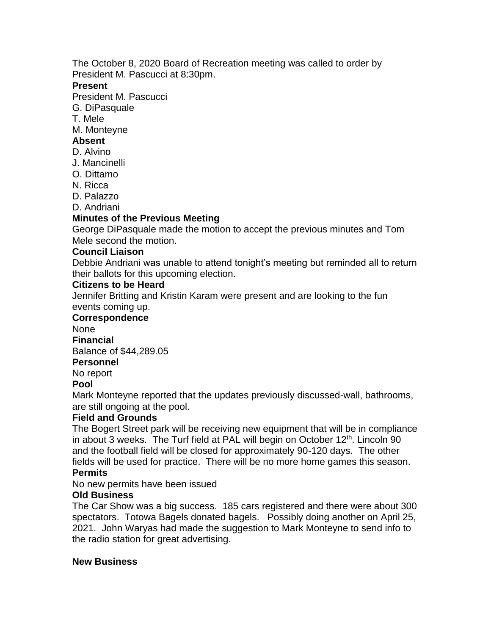The October 8, 2020 Board of Recreation meeting was called to order by President M. Pascucci at 8:30pm.

### **Present**

President M. Pascucci

- G. DiPasquale
- T. Mele
- M. Monteyne

## **Absent**

- D. Alvino
- J. Mancinelli
- O. Dittamo
- N. Ricca
- D. Palazzo
- D. Andriani

### **Minutes of the Previous Meeting**

George DiPasquale made the motion to accept the previous minutes and Tom Mele second the motion.

### **Council Liaison**

Debbie Andriani was unable to attend tonight's meeting but reminded all to return their ballots for this upcoming election.

#### **Citizens to be Heard**

Jennifer Britting and Kristin Karam were present and are looking to the fun events coming up.

### **Correspondence**

None

**Financial**

Balance of \$44,289.05

# **Personnel**

No report

### **Pool**

Mark Monteyne reported that the updates previously discussed-wall, bathrooms, are still ongoing at the pool.

### **Field and Grounds**

The Bogert Street park will be receiving new equipment that will be in compliance in about 3 weeks. The Turf field at PAL will begin on October 12<sup>th</sup>. Lincoln 90 and the football field will be closed for approximately 90-120 days. The other fields will be used for practice. There will be no more home games this season.

### **Permits**

No new permits have been issued

### **Old Business**

The Car Show was a big success. 185 cars registered and there were about 300 spectators. Totowa Bagels donated bagels. Possibly doing another on April 25, 2021. John Waryas had made the suggestion to Mark Monteyne to send info to the radio station for great advertising.

### **New Business**